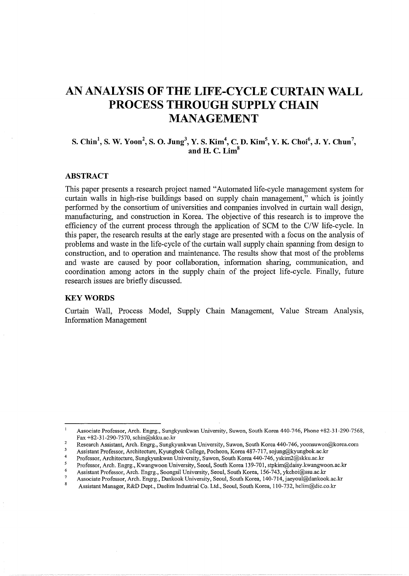# **AN ANALYSIS OF THE LIFE-CYCLE CURTAIN WALL PROCESS THROUGH SUPPLY CHAIN MANAGEMENT**

# S. **Chin<sup>1</sup> , S. W. Yoon<sup>2</sup> , S. 0. Jung3 ,** Y. S. **Kim4 , C. D. Kim<sup>5</sup> , Y. K. Choi<sup>6</sup> , J. Y. Chun<sup>7</sup> , and H. C. Lim<sup>8</sup>**

# **ABSTRACT**

This paper presents a research project named "Automated life-cycle management system for curtain walls in high-rise buildings based on supply chain management," which is jointly performed by the consortium of universities and companies involved in curtain wall design, manufacturing, and construction in Korea. The objective of this research is to improve the efficiency of the current process through the application of SCM to the C/W life-cycle. In this paper, the research results at the early stage are presented with a focus on the analysis of problems and waste in the life-cycle of the curtain wall supply chain spanning from design to construction, and to operation and maintenance. The results show that most of the problems and waste are caused by poor collaboration, information sharing, communication, and coordination among actors in the supply chain of the project life-cycle. Finally, future research issues are briefly discussed.

#### **KEYWORDS**

Curtain Wall, Process Model, Supply Chain Management, Value Stream Analysis, Information Management

Associate Professor, Arch. Engrg., Sungkyunkwan University, Suwon, South Korea 440-746, Phone +82-31-290-7568, Fax +82-31-290-7570, schin@skku.ac.kr

 $\overline{2}$ Research Assistant, Arch. Engrg., Sungkyunkwan University, Suwon, South Korea 440-746, yoonsuwon@korea.com

 $\overline{3}$ Assistant Professor, Architecture, Kyungbok College, Pocheon, Korea 487-717, sojung@kyungbok.ac.kr  $\overline{4}$ 

Professor, Architecture, Sungkyunkwan University, Suwon, South Korea 440-746, yskim2@skku.ac.kr  $\overline{\mathbf{S}}$ 

Professor, Arch. Engrg., Kwangwoon University, Seoul, South Korea 139-701, stpkim@daisy.kwangwoon.ac.kr  $\boldsymbol{6}$ 

Assistant Professor, Arch. Engrg., Soongsil University, Seoul, South Korea, 156-743, ykchoi@ssu.ac.kr

 $\overline{7}$ Associate Professor, Arch. Engrg., Dankook University, Seoul, South Korea, 140-714,jaeyoul@dankook.ac.kr

Assistant Manager, R&D Dept., Daelim Industrial Co. Ltd., Seoul, South Korea, 110-732, hclim@dic.co.kr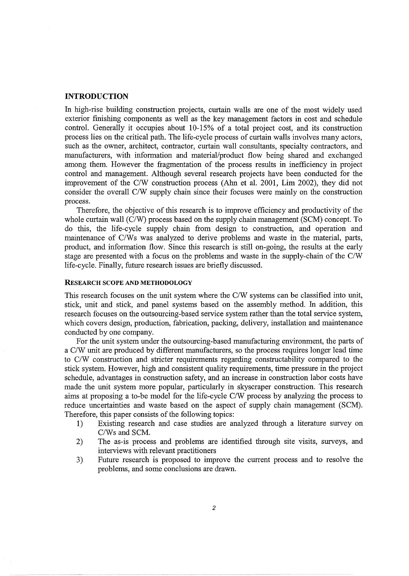# **INTRODUCTION**

In high-rise building construction projects, curtain walls are one of the most widely used exterior finishing components as well as the key management factors in cost and schedule control. Generally it occupies about 10-15% of a total project cost, and its construction process lies on the critical path. The life-cycle process of curtain walls involves many actors, such as the owner, architect, contractor, curtain wall consultants, specialty contractors, and manufacturers, with information and material/product flow being shared and exchanged among them. However the fragmentation of the process results in inefficiency in project control and management. Although several research projects have been conducted for the improvement of the C/W construction process (Ahn et al. 2001, Lim 2002), they did not consider the overall C/W supply chain since their focuses were mainly on the construction process.

Therefore, the objective of this research is to improve efficiency and productivity of the whole curtain wall (C/W) process based on the supply chain management (SCM) concept. To do this, the life-cycle supply chain from design to construction, and operation and maintenance of C/Ws was analyzed to derive problems and waste in the material, parts, product, and information flow. Since this research is still on-going, the results at the early stage are presented with a focus on the problems and waste in the supply-chain of the C/W life-cycle. Finally, future research issues are briefly discussed.

#### RESEARCH SCOPE AND METHODOLOGY

This research focuses on the unit system where the C/W systems can be classified into unit, stick, unit and stick, and panel systems based on the assembly method. In addition, this research focuses on the outsourcing-based service system rather than the total service system, which covers design, production, fabrication, packing, delivery, installation and maintenance conducted by one company.

For the unit system under the outsourcing-based manufacturing environment, the parts of a C/W unit are produced by different manufacturers, so the process requires longer lead time to C/W construction and stricter requirements regarding constructability compared to the stick system. However, high and consistent quality requirements, time pressure in the project schedule, advantages in construction safety, and an increase in construction labor costs have made the unit system more popular, particularly in skyscraper construction. This research aims at proposing a to-be model for the life-cycle C/W process by analyzing the process to reduce uncertainties and waste based on the aspect of supply chain management (SCM). Therefore, this paper consists of the following topics:

- 1) Existing research and case studies are analyzed through a literature survey on C/Ws and SCM.
- 2) The as-is process and problems are identified through site visits, surveys, and interviews with relevant practitioners
- 3) Future research is proposed to improve the current process and to resolve the problems, and some conclusions are drawn.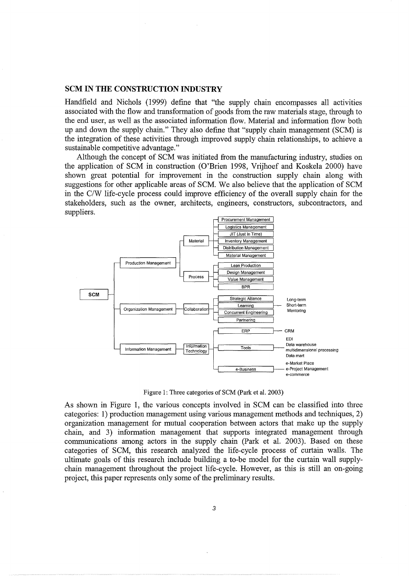## **SCM IN THE CONSTRUCTION INDUSTRY**

Handfield and Nichols (1999) define that "the supply chain encompasses all activities associated with the flow and transformation of goods from the raw materials stage, through to the end user, as well as the associated information flow. Material and information flow both up and down the supply chain." They also define that "supply chain management (SCM) is the integration of these activities through improved supply chain relationships, to achieve a sustainable competitive advantage."

Although the concept of SCM was initiated from the manufacturing industry, studies on the application of SCM in construction (O'Brien 1998, Vrijhoef and Koskela 2000) have shown great potential for improvement in the construction supply chain along with suggestions for other applicable areas of SCM. We also believe that the application of SCM in the C/W life-cycle process could improve efficiency of the overall supply chain for the stakeholders, such as the owner, architects, engineers, constructors, subcontractors, and suppliers.



Figure 1: Three categories of SCM (Park et al. 2003)

As shown in Figure 1, the various concepts involved in SCM can be classified into three categories: 1) production management using various management methods and techniques, 2) organization management for mutual cooperation between actors that make up the supply chain, and 3) information management that supports integrated management through communications among actors in the supply chain (Park et al. 2003). Based on these categories of SCM, this research analyzed the life-cycle process of curtain walls. The ultimate goals of this research include building a to-be model for the curtain wall supplychain management throughout the project life-cycle. However, as this is still an on-going project, this paper represents only some of the preliminary results.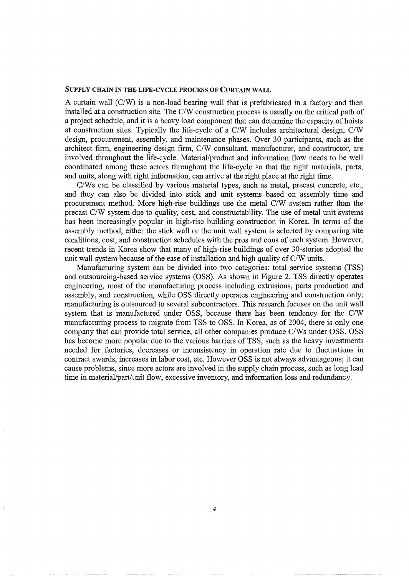#### SUPPLY CHAIN IN THE LIFE-CYCLE PROCESS OF CURTAIN WALL

A curtain wall (C/W) is a non-load bearing wall that is prefabricated in a factory and then installed at a construction site. The C/W construction process is usually on the critical path of a project schedule, and it is a heavy load component that can determine the capacity of hoists at construction sites. Typically the life-cycle of a C/W includes architectural design, C/W design, procurement, assembly, and maintenance phases. Over 30 participants, such as the architect firm, engineering design firm, C/W consultant, manufacturer, and constructor, are involved throughout the life-cycle. Material/product and information flow needs to be well coordinated among these actors throughout the life-cycle so that the right materials, parts, and units, along with right information, can arrive at the right place at the right time.

C/Ws can be classified by various material types, such as metal, precast concrete, etc., and they can also be divided into stick and unit systems based on assembly time and procurement method. More high-rise buildings use the metal C/W system rather than the precast C/W system due to quality, cost, and constructability. The use of metal unit systems has been increasingly popular in high-rise building construction in Korea. In terms of the assembly method, either the stick wall or the unit wall system is selected by comparing site conditions, cost, and construction schedules with the pros and cons of each system. However, recent trends in Korea show that many of high-rise buildings of over 30-stories adopted the unit wall system because of the ease of installation and high quality of C/W units.

Manufacturing system can be divided into two categories: total service systems (TSS) and outsourcing-based service systems (OSS). As shown in Figure 2, TSS directly operates engineering, most of the manufacturing process including extrusions, parts production and assembly, and construction, while OSS directly operates engineering and construction only; manufacturing is outsourced to several subcontractors. This research focuses on the unit wall system that is manufactured under OSS, because there has been tendency for the C/W manufacturing process to migrate from TSS to OSS. In Korea, as of 2004, there is only one company that can provide total service, all other companies produce C/Ws under OSS. OSS has become more popular due to the various barriers of TSS, such as the heavy investments needed for factories, decreases or inconsistency in operation rate due to fluctuations in contract awards, increases in labor cost, etc. However OSS is not always advantageous; it can cause problems, since more actors are involved in the supply chain process, such as long lead time in material/part/unit flow, excessive inventory, and information loss and redundancy.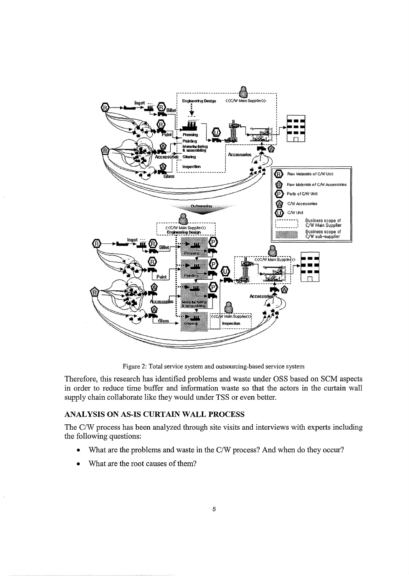

Figure 2: Total service system and outsourcing-based service system

Therefore, this research has identified problems and waste under OSS based on SCM aspects in order to reduce time buffer and information waste so that the actors in the curtain wall supply chain collaborate like they would under TSS or even better.

# ANALYSIS ON AS-IS CURTAIN WALL PROCESS

The C/W process has been analyzed through site visits and interviews with experts including the following questions:

- What are the problems and waste in the C/W process? And when do they occur?
- What are the root causes of them?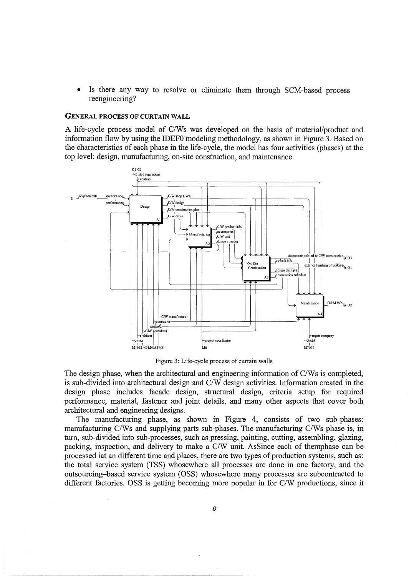Is there any way to resolve or eliminate them through SCM-based process reengineering?

#### **GENERAL PROCESS OF CURTAIN WALL**

A life-cycle process model of C/Ws was developed on the basis of material/product and information flow by using the IDEF0 modeling methodology, as shown in Figure 3. Based on the characteristics of each phase in the life-cycle, the model has four activities (phases) at the top level: design, manufacturing, on-site construction, and maintenance.



Figure 3: Life-cycle process of curtain walls

The design phase, when the architectural and engineering information of C/Ws is completed, is sub-divided into architectural design and C/W design activities. Information created in the design phase includes facade design, structural design, criteria setup for required performance, material, fastener and joint details, and many other aspects that cover both architectural and engineering designs.

The manufacturing phase, as shown in Figure 4, consists of two sub-phases: manufacturing C/Ws and supplying parts sub-phases. The manufacturing C/Ws phase is, in turn, sub-divided into sub-processes, such as pressing, painting, cutting, assembling, glazing, packing, inspection, and delivery to make a C/W unit. AsSince each of themphase can be processed iat an different time and places, there are two types of production systems, such as: the total service system (TSS) whose where all processes are done in one factory, and the outsourcing–based service system (OSS) whose where many processes are subcontracted to different factories. OSS is getting becoming more popular in for C/W productions, since it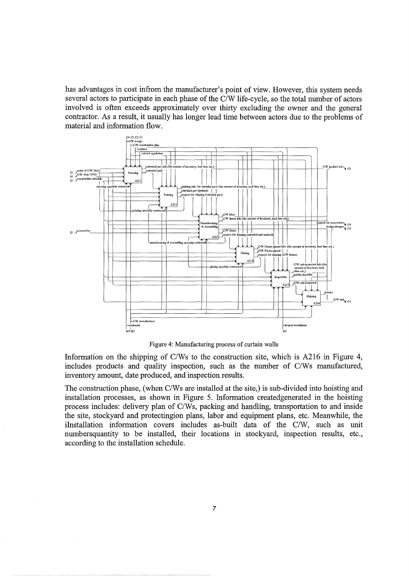has advantages in cost infrom the manufacturer's point of view. However, this system needs several actors to participate in each phase of the C/W life-cycle, so the total number of actors involved is often exceeds approximately over thirty excluding the owner and the general contractor. As a result, it usually has longer lead time between actors due to the problems of material and information flow.



Figure 4: Manufacturing process of curtain walls

Information on the shipping of C/Ws to the construction site, which is A216 in Figure 4, includes products and quality inspection, such as the number of C/Ws manufactured, inventory amount, date produced, and inspection results.

The construction phase, (when C/Ws are installed at the site,) is sub-divided into hoisting and installation processes, as shown in Figure 5. Information createdgenerated in the hoisting process includes: delivery plan of C/Ws, packing and handling, transportation to and inside the site, stockyard and protectingion plans, labor and equipment plans, etc. Meanwhile, the ilnstallation information covers includes as-built data of the C/W, such as unit numbersquantity to be installed, their locations in stockyard, inspection results, etc., according to the installation schedule.

 $\bar{\alpha}$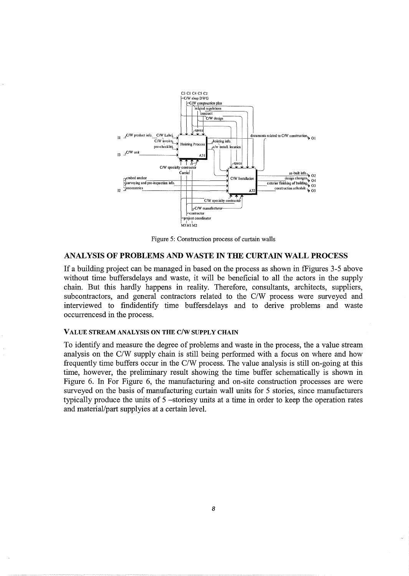

Figure 5: Construction process of curtain walls

#### ANALYSIS OF PROBLEMS AND WASTE IN THE CURTAIN WALL PROCESS

If a building project can be managed in based on the process as shown in fFigures 3-5 above without time buffers delays and waste, it will be beneficial to all the actors in the supply chain. But this hardly happens in reality. Therefore, consultants, architects, suppliers, subcontractors, and general contractors related to the C/W process were surveyed and interviewed to findidentify time buffersdelays and to derive problems and waste occurrencesd in the process.

#### VALUE STREAM ANALYSIS ON THE C/W SUPPLY CHAIN

To identify and measure the degree of problems and waste in the process, the a value stream analysis on the C/W supply chain is still being performed with a focus on where and how frequently time buffers occur in the C/W process. The value analysis is still on-going at this time, however, the preliminary result showing the time buffer schematically is shown in Figure 6. In For Figure 6, the manufacturing and on-site construction processes are were surveyed on the basis of manufacturing curtain wall units for 5 stories, since manufacturers typically produce the units of 5 -storiesy units at a time in order to keep the operation rates and material/part supplyies at a certain level.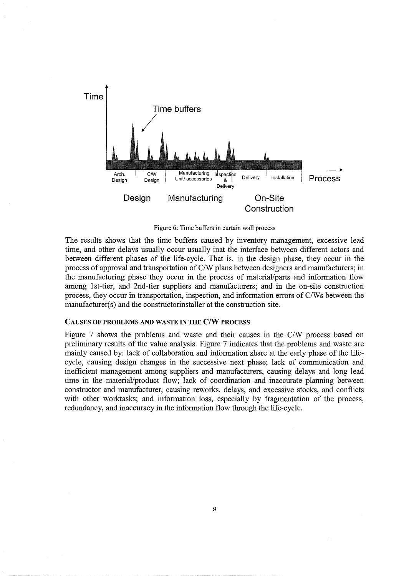

Figure 6: Time buffers in curtain wall process

The results shows that the time buffers caused by inventory management, excessive lead time, and other delays usually occur usually inat the interface between different actors and between different phases of the life-cycle. That is, in the design phase, they occur in the process of approval and transportation of C/W plans between designers and manufacturers; in the manufacturing phase they occur in the process of material/parts and information flow among 1st-tier, and 2nd-tier suppliers and manufacturers; and in the on-site construction process, they occur in transportation, inspection, and information errors of C/Ws between the manufacturer(s) and the constructorinstaller at the construction site.

#### CAUSES OF PROBLEMS AND WASTE IN THE C/W PROCESS

Figure 7 shows the problems and waste and their causes in the C/W process based on preliminary results of the value analysis. Figure 7 indicates that the problems and waste are mainly caused by: lack of collaboration and information share at the early phase of the lifecycle, causing design changes in the successive next phase; lack of communication and inefficient management among suppliers and manufacturers, causing delays and long lead time in the material/product flow; lack of coordination and inaccurate planning between constructor and manufacturer, causing reworks, delays, and excessive stocks, and conflicts with other worktasks; and information loss, especially by fragmentation of the process, redundancy, and inaccuracy in the information flow through the life-cycle.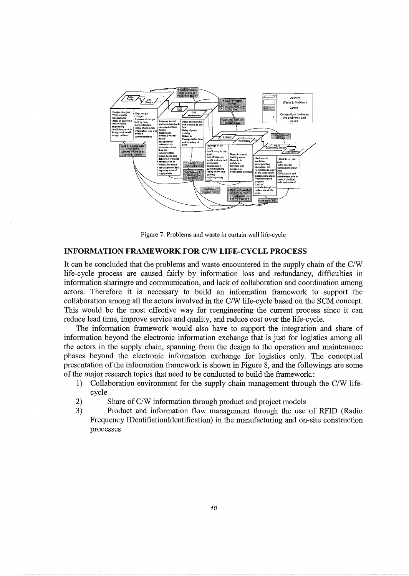

Figure 7: Problems and waste in curtain wall life-cycle

### **INFORMATION FRAMEWORK FOR C/W LIFE-CYCLE PROCESS**

It can be concluded that the problems and waste encountered in the supply chain of the C/W life-cycle process are caused fairly by information loss and redundancy, difficulties in information sharingre and communication, and lack of collaboration and coordination among actors. Therefore it is necessary to build an information framework to support the collaboration among all the actors involved in the C/W life-cycle based on the SCM concept. This would be the most effective way for reengineering the current process since it can reduce lead time, improve service and quality, and reduce cost over the life-cycle.

The information framework would also have to support the integration and share of information beyond the electronic information exchange that is just for logistics among all the actors in the supply chain, spanning from the design to the operation and maintenance phases beyond the electronic information exchange for logistics only. The conceptual presentation of the information framework is shown in Figure 8, and the followings are some of the major research topics that need to be conducted to build the framework.:

- 1) Collaboration environment for the supply chain management through the C/W lifecycle
- 2) Share of C/W information through product and project models
- 3) Product and information flow management through the use of RFID (Radio Frequency IDentifiationidentification) in the manufacturing and on-site construction processes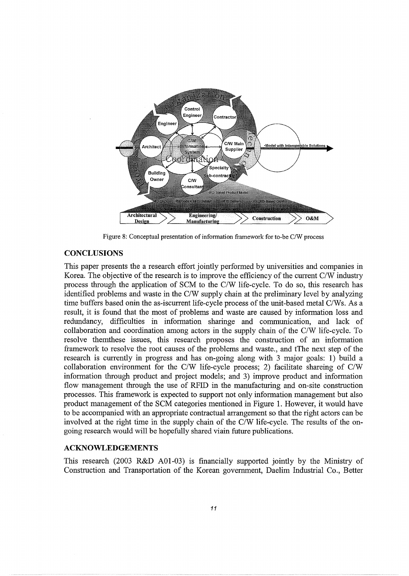

Figure 8: Conceptual presentation of information framework for to-be *C!W* process

## **CONCLUSIONS**

This paper presents the a research effort jointly performed by universities and companies in Korea. The objective of the research is to improve the efficiency of the current C/W industry process through the application of SCM to the C/W life-cycle. To do so, this research has identified problems and waste in the C/W supply chain at the preliminary level by analyzing time buffers based onin the as-iscurrent life-cycle process of the unit-based metal C/Ws. As a result, it is found that the most of problems and waste are caused by information loss and redundancy, difficulties in information sharinge and communication, and lack of collaboration and coordination among actors in the supply chain of the C/W life-cycle. To resolve themthese issues, this research proposes the construction of an information framework to resolve the root causes of the problems and waste., and tThe next step of the research is currently in progress and has on-going along with 3 major goals: 1) build a collaboration environment for the C/W life-cycle process; 2) facilitate shareing of C/W information through product and project models; and 3) improve product and information flow management through the use of RFID in the manufacturing and on-site construction processes. This framework is expected to support not only information management but also product management of the SCM categories mentioned in Figure 1. However, it would have to be accompanied with an appropriate contractual arrangement so that the right actors can be involved at the right time in the supply chain of the C/W life-cycle. The results of the ongoing research would will be hopefully shared viain future publications.

# **ACKNOWLEDGEMENTS**

This research (2003 R&D AOl-03) is financially supported jointly by the Ministry of Construction and Transportation of the Korean government, Daelim Industrial Co., Better